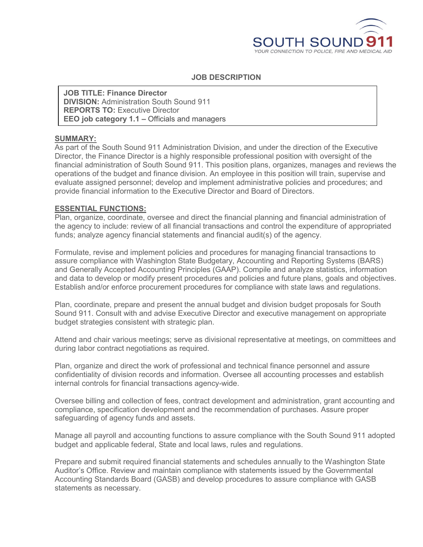

## **JOB DESCRIPTION**

**JOB TITLE: Finance Director DIVISION:** Administration South Sound 911 **REPORTS TO:** Executive Director **EEO job category 1.1 –** Officials and managers

## **SUMMARY:**

As part of the South Sound 911 Administration Division, and under the direction of the Executive Director, the Finance Director is a highly responsible professional position with oversight of the financial administration of South Sound 911. This position plans, organizes, manages and reviews the operations of the budget and finance division. An employee in this position will train, supervise and evaluate assigned personnel; develop and implement administrative policies and procedures; and provide financial information to the Executive Director and Board of Directors.

## **ESSENTIAL FUNCTIONS:**

Plan, organize, coordinate, oversee and direct the financial planning and financial administration of the agency to include: review of all financial transactions and control the expenditure of appropriated funds; analyze agency financial statements and financial audit(s) of the agency.

Formulate, revise and implement policies and procedures for managing financial transactions to assure compliance with Washington State Budgetary, Accounting and Reporting Systems (BARS) and Generally Accepted Accounting Principles (GAAP). Compile and analyze statistics, information and data to develop or modify present procedures and policies and future plans, goals and objectives. Establish and/or enforce procurement procedures for compliance with state laws and regulations.

Plan, coordinate, prepare and present the annual budget and division budget proposals for South Sound 911. Consult with and advise Executive Director and executive management on appropriate budget strategies consistent with strategic plan.

Attend and chair various meetings; serve as divisional representative at meetings, on committees and during labor contract negotiations as required.

Plan, organize and direct the work of professional and technical finance personnel and assure confidentiality of division records and information. Oversee all accounting processes and establish internal controls for financial transactions agency-wide.

Oversee billing and collection of fees, contract development and administration, grant accounting and compliance, specification development and the recommendation of purchases. Assure proper safeguarding of agency funds and assets.

Manage all payroll and accounting functions to assure compliance with the South Sound 911 adopted budget and applicable federal, State and local laws, rules and regulations.

Prepare and submit required financial statements and schedules annually to the Washington State Auditor's Office. Review and maintain compliance with statements issued by the Governmental Accounting Standards Board (GASB) and develop procedures to assure compliance with GASB statements as necessary.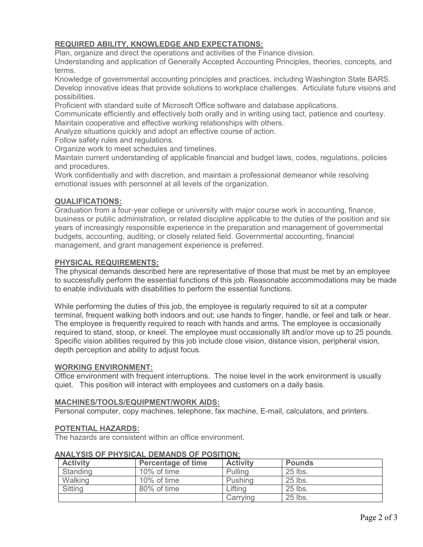# **REQUIRED ABILITY, KNOWLEDGE AND EXPECTATIONS:**

Plan, organize and direct the operations and activities of the Finance division.

Understanding and application of Generally Accepted Accounting Principles, theories, concepts, and terms.

Knowledge of governmental accounting principles and practices, including Washington State BARS. Develop innovative ideas that provide solutions to workplace challenges. Articulate future visions and possibilities.

Proficient with standard suite of Microsoft Office software and database applications.

Communicate efficiently and effectively both orally and in writing using tact, patience and courtesy. Maintain cooperative and effective working relationships with others.

Analyze situations quickly and adopt an effective course of action.

Follow safety rules and regulations.

Organize work to meet schedules and timelines.

Maintain current understanding of applicable financial and budget laws, codes, regulations, policies and procedures.

Work confidentially and with discretion, and maintain a professional demeanor while resolving emotional issues with personnel at all levels of the organization.

## **QUALIFICATIONS:**

Graduation from a four-year college or university with major course work in accounting, finance, business or public administration, or related discipline applicable to the duties of the position and six years of increasingly responsible experience in the preparation and management of governmental budgets, accounting, auditing, or closely related field. Governmental accounting, financial management, and grant management experience is preferred.

## **PHYSICAL REQUIREMENTS:**

The physical demands described here are representative of those that must be met by an employee to successfully perform the essential functions of this job. Reasonable accommodations may be made to enable individuals with disabilities to perform the essential functions.

While performing the duties of this job, the employee is regularly required to sit at a computer terminal, frequent walking both indoors and out; use hands to finger, handle, or feel and talk or hear. The employee is frequently required to reach with hands and arms. The employee is occasionally required to stand, stoop, or kneel. The employee must occasionally lift and/or move up to 25 pounds. Specific vision abilities required by this job include close vision, distance vision, peripheral vision, depth perception and ability to adjust focus.

#### **WORKING ENVIRONMENT:**

Office environment with frequent interruptions. The noise level in the work environment is usually quiet. This position will interact with employees and customers on a daily basis.

#### **MACHINES/TOOLS/EQUIPMENT/WORK AIDS:**

Personal computer, copy machines, telephone, fax machine, E-mail, calculators, and printers.

#### **POTENTIAL HAZARDS:**

The hazards are consistent within an office environment.

| <b>Activity</b> | <b>Percentage of time</b> | <b>Activity</b> | <b>Pounds</b> |  |
|-----------------|---------------------------|-----------------|---------------|--|
| Standing        | 10% of time               | Pulling         | 25 lbs.       |  |
| Walking         | 10% of time               | Pushing         | 25 lbs.       |  |
| <b>Sitting</b>  | 80% of time               | _ifting         | 25 lbs.       |  |
|                 |                           | Carrving        | 25 lbs.       |  |

## **ANALYSIS OF PHYSICAL DEMANDS OF POSITION:**